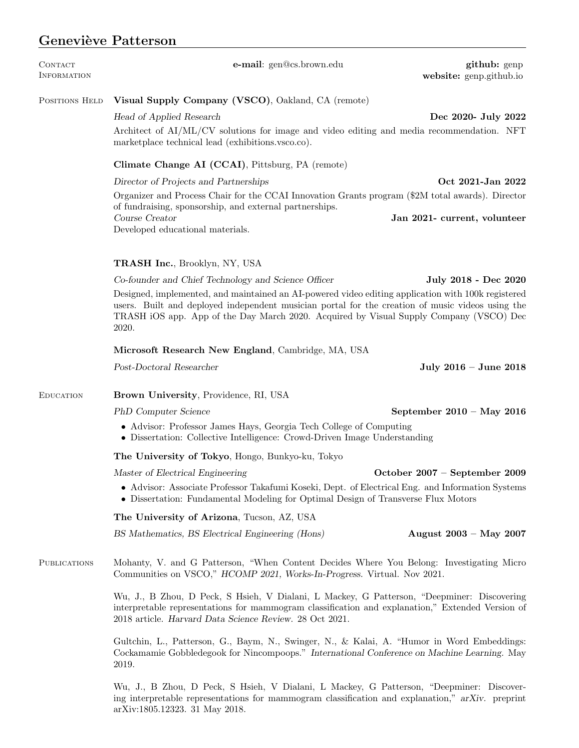## Geneviève Patterson

| <b>CONTACT</b><br>INFORMATION | e-mail: gen@cs.brown.edu                                                                                                                                                                                                                                                                                  | github: genp<br>website: genp.github.io |  |
|-------------------------------|-----------------------------------------------------------------------------------------------------------------------------------------------------------------------------------------------------------------------------------------------------------------------------------------------------------|-----------------------------------------|--|
| POSITIONS HELD                | Visual Supply Company (VSCO), Oakland, CA (remote)                                                                                                                                                                                                                                                        |                                         |  |
|                               | Head of Applied Research                                                                                                                                                                                                                                                                                  | Dec 2020- July 2022                     |  |
|                               | Architect of AI/ML/CV solutions for image and video editing and media recommendation. NFT<br>marketplace technical lead (exhibitions.vsco.co).                                                                                                                                                            |                                         |  |
|                               | Climate Change AI (CCAI), Pittsburg, PA (remote)                                                                                                                                                                                                                                                          |                                         |  |
|                               | Director of Projects and Partnerships                                                                                                                                                                                                                                                                     | Oct 2021-Jan 2022                       |  |
|                               | Organizer and Process Chair for the CCAI Innovation Grants program (\$2M total awards). Director<br>of fundraising, sponsorship, and external partnerships.                                                                                                                                               |                                         |  |
|                               | Course Creator<br>Developed educational materials.                                                                                                                                                                                                                                                        | Jan 2021- current, volunteer            |  |
|                               | <b>TRASH Inc.</b> , Brooklyn, NY, USA                                                                                                                                                                                                                                                                     |                                         |  |
|                               | Co-founder and Chief Technology and Science Officer                                                                                                                                                                                                                                                       | July 2018 - Dec 2020                    |  |
|                               | Designed, implemented, and maintained an AI-powered video editing application with 100k registered<br>users. Built and deployed independent musician portal for the creation of music videos using the<br>TRASH iOS app. App of the Day March 2020. Acquired by Visual Supply Company (VSCO) Dec<br>2020. |                                         |  |
|                               | Microsoft Research New England, Cambridge, MA, USA                                                                                                                                                                                                                                                        |                                         |  |
|                               | Post-Doctoral Researcher                                                                                                                                                                                                                                                                                  | July 2016 - June 2018                   |  |
| <b>EDUCATION</b>              | Brown University, Providence, RI, USA                                                                                                                                                                                                                                                                     |                                         |  |
|                               | PhD Computer Science                                                                                                                                                                                                                                                                                      | September $2010 - May 2016$             |  |
|                               | • Advisor: Professor James Hays, Georgia Tech College of Computing<br>• Dissertation: Collective Intelligence: Crowd-Driven Image Understanding                                                                                                                                                           |                                         |  |
|                               | The University of Tokyo, Hongo, Bunkyo-ku, Tokyo                                                                                                                                                                                                                                                          |                                         |  |
|                               | Master of Electrical Engineering                                                                                                                                                                                                                                                                          | October $2007$ – September 2009         |  |
|                               | • Advisor: Associate Professor Takafumi Koseki, Dept. of Electrical Eng. and Information Systems<br>• Dissertation: Fundamental Modeling for Optimal Design of Transverse Flux Motors                                                                                                                     |                                         |  |
|                               | The University of Arizona, Tucson, AZ, USA                                                                                                                                                                                                                                                                |                                         |  |
|                               | BS Mathematics, BS Electrical Engineering (Hons)                                                                                                                                                                                                                                                          | August $2003 - May 2007$                |  |
| <b>PUBLICATIONS</b>           | Mohanty, V. and G Patterson, "When Content Decides Where You Belong: Investigating Micro<br>Communities on VSCO," HCOMP 2021, Works-In-Progress. Virtual. Nov 2021.                                                                                                                                       |                                         |  |
|                               | Wu, J., B Zhou, D Peck, S Hsieh, V Dialani, L Mackey, G Patterson, "Deepminer: Discovering<br>interpretable representations for mammogram classification and explanation," Extended Version of<br>2018 article. Harvard Data Science Review. 28 Oct 2021.                                                 |                                         |  |

Gultchin, L., Patterson, G., Baym, N., Swinger, N., & Kalai, A. "Humor in Word Embeddings: Cockamamie Gobbledegook for Nincompoops." International Conference on Machine Learning. May 2019.

Wu, J., B Zhou, D Peck, S Hsieh, V Dialani, L Mackey, G Patterson, "Deepminer: Discovering interpretable representations for mammogram classification and explanation," arXiv. preprint arXiv:1805.12323. 31 May 2018.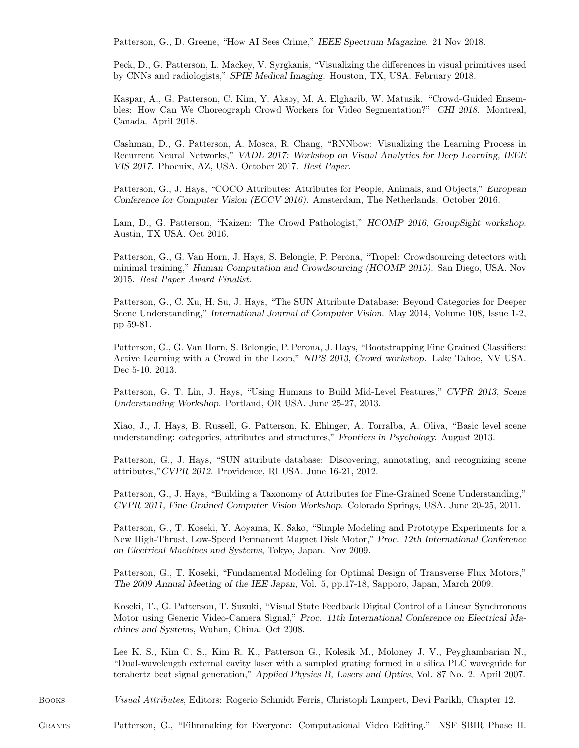Patterson, G., D. Greene, "How AI Sees Crime," IEEE Spectrum Magazine. 21 Nov 2018.

Peck, D., G. Patterson, L. Mackey, V. Syrgkanis, "Visualizing the differences in visual primitives used by CNNs and radiologists," SPIE Medical Imaging. Houston, TX, USA. February 2018.

Kaspar, A., G. Patterson, C. Kim, Y. Aksoy, M. A. Elgharib, W. Matusik. "Crowd-Guided Ensembles: How Can We Choreograph Crowd Workers for Video Segmentation?" CHI 2018. Montreal, Canada. April 2018.

Cashman, D., G. Patterson, A. Mosca, R. Chang, "RNNbow: Visualizing the Learning Process in Recurrent Neural Networks," VADL 2017: Workshop on Visual Analytics for Deep Learning, IEEE VIS 2017. Phoenix, AZ, USA. October 2017. Best Paper.

Patterson, G., J. Hays, "COCO Attributes: Attributes for People, Animals, and Objects," European Conference for Computer Vision (ECCV 2016). Amsterdam, The Netherlands. October 2016.

Lam, D., G. Patterson, "Kaizen: The Crowd Pathologist," HCOMP 2016, GroupSight workshop. Austin, TX USA. Oct 2016.

Patterson, G., G. Van Horn, J. Hays, S. Belongie, P. Perona, "Tropel: Crowdsourcing detectors with minimal training," Human Computation and Crowdsourcing (HCOMP 2015). San Diego, USA. Nov 2015. Best Paper Award Finalist.

Patterson, G., C. Xu, H. Su, J. Hays, "The SUN Attribute Database: Beyond Categories for Deeper Scene Understanding," International Journal of Computer Vision. May 2014, Volume 108, Issue 1-2, pp 59-81.

Patterson, G., G. Van Horn, S. Belongie, P. Perona, J. Hays, "Bootstrapping Fine Grained Classifiers: Active Learning with a Crowd in the Loop," NIPS 2013, Crowd workshop. Lake Tahoe, NV USA. Dec 5-10, 2013.

Patterson, G. T. Lin, J. Hays, "Using Humans to Build Mid-Level Features," CVPR 2013, Scene Understanding Workshop. Portland, OR USA. June 25-27, 2013.

Xiao, J., J. Hays, B. Russell, G. Patterson, K. Ehinger, A. Torralba, A. Oliva, "Basic level scene understanding: categories, attributes and structures," Frontiers in Psychology. August 2013.

Patterson, G., J. Hays, "SUN attribute database: Discovering, annotating, and recognizing scene attributes,"CVPR 2012. Providence, RI USA. June 16-21, 2012.

Patterson, G., J. Hays, "Building a Taxonomy of Attributes for Fine-Grained Scene Understanding," CVPR 2011, Fine Grained Computer Vision Workshop. Colorado Springs, USA. June 20-25, 2011.

Patterson, G., T. Koseki, Y. Aoyama, K. Sako, "Simple Modeling and Prototype Experiments for a New High-Thrust, Low-Speed Permanent Magnet Disk Motor," Proc. 12th International Conference on Electrical Machines and Systems, Tokyo, Japan. Nov 2009.

Patterson, G., T. Koseki, "Fundamental Modeling for Optimal Design of Transverse Flux Motors," The 2009 Annual Meeting of the IEE Japan, Vol. 5, pp.17-18, Sapporo, Japan, March 2009.

Koseki, T., G. Patterson, T. Suzuki, "Visual State Feedback Digital Control of a Linear Synchronous Motor using Generic Video-Camera Signal," Proc. 11th International Conference on Electrical Machines and Systems, Wuhan, China. Oct 2008.

Lee K. S., Kim C. S., Kim R. K., Patterson G., Kolesik M., Moloney J. V., Peyghambarian N., "Dual-wavelength external cavity laser with a sampled grating formed in a silica PLC waveguide for terahertz beat signal generation," Applied Physics B, Lasers and Optics, Vol. 87 No. 2. April 2007.

Books Visual Attributes, Editors: Rogerio Schmidt Ferris, Christoph Lampert, Devi Parikh, Chapter 12.

Grants Patterson, G., "Filmmaking for Everyone: Computational Video Editing." NSF SBIR Phase II.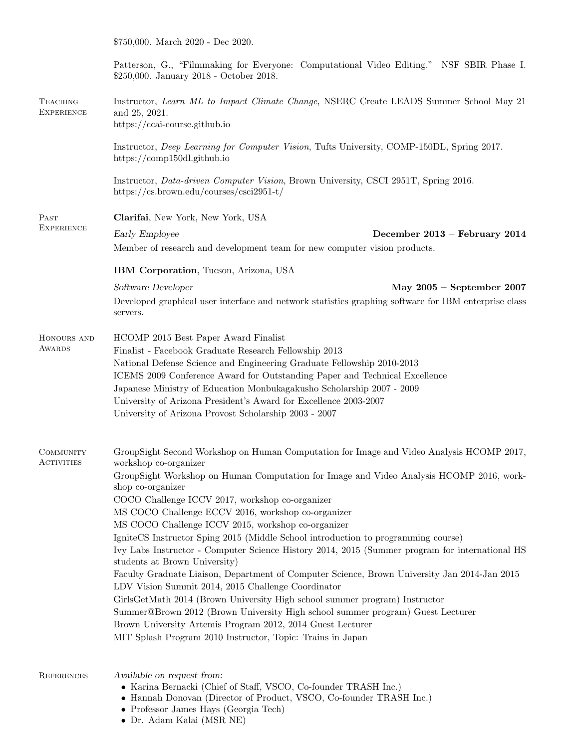\$750,000. March 2020 - Dec 2020.

|                                      | Patterson, G., "Filmmaking for Everyone: Computational Video Editing." NSF SBIR Phase I.<br>\$250,000. January 2018 - October 2018.       |  |  |
|--------------------------------------|-------------------------------------------------------------------------------------------------------------------------------------------|--|--|
| <b>TEACHING</b><br><b>EXPERIENCE</b> | Instructor, Learn ML to Impact Climate Change, NSERC Create LEADS Summer School May 21<br>and 25, 2021.                                   |  |  |
|                                      | https://ccai-course.github.io                                                                                                             |  |  |
|                                      | Instructor, Deep Learning for Computer Vision, Tufts University, COMP-150DL, Spring 2017.<br>https://comp150dl.github.io                  |  |  |
|                                      | Instructor, <i>Data-driven Computer Vision</i> , Brown University, CSCI 2951T, Spring 2016.<br>https://cs.brown.edu/courses/csci2951-t/   |  |  |
| PAST<br><b>EXPERIENCE</b>            | Clarifai, New York, New York, USA                                                                                                         |  |  |
|                                      | Early Employee<br>December 2013 - February 2014                                                                                           |  |  |
|                                      | Member of research and development team for new computer vision products.                                                                 |  |  |
|                                      | IBM Corporation, Tucson, Arizona, USA                                                                                                     |  |  |
|                                      | Software Developer<br>May $2005$ – September 2007                                                                                         |  |  |
|                                      | Developed graphical user interface and network statistics graphing software for IBM enterprise class<br>servers.                          |  |  |
| HONOURS AND<br><b>AWARDS</b>         | HCOMP 2015 Best Paper Award Finalist                                                                                                      |  |  |
|                                      | Finalist - Facebook Graduate Research Fellowship 2013                                                                                     |  |  |
|                                      | National Defense Science and Engineering Graduate Fellowship 2010-2013                                                                    |  |  |
|                                      | ICEMS 2009 Conference Award for Outstanding Paper and Technical Excellence                                                                |  |  |
|                                      | Japanese Ministry of Education Monbukagakusho Scholarship 2007 - 2009<br>University of Arizona President's Award for Excellence 2003-2007 |  |  |
|                                      | University of Arizona Provost Scholarship 2003 - 2007                                                                                     |  |  |
|                                      |                                                                                                                                           |  |  |
| COMMUNITY<br><b>ACTIVITIES</b>       | GroupSight Second Workshop on Human Computation for Image and Video Analysis HCOMP 2017,<br>workshop co-organizer                         |  |  |
|                                      | GroupSight Workshop on Human Computation for Image and Video Analysis HCOMP 2016, work-<br>shop co-organizer                              |  |  |
|                                      | COCO Challenge ICCV 2017, workshop co-organizer                                                                                           |  |  |
|                                      | MS COCO Challenge ECCV 2016, workshop co-organizer                                                                                        |  |  |
|                                      | MS COCO Challenge ICCV 2015, workshop co-organizer<br>IgniteCS Instructor Sping 2015 (Middle School introduction to programming course)   |  |  |
|                                      | Ivy Labs Instructor - Computer Science History 2014, 2015 (Summer program for international HS                                            |  |  |
|                                      | students at Brown University)                                                                                                             |  |  |
|                                      | Faculty Graduate Liaison, Department of Computer Science, Brown University Jan 2014-Jan 2015                                              |  |  |
|                                      | LDV Vision Summit 2014, 2015 Challenge Coordinator<br>GirlsGetMath 2014 (Brown University High school summer program) Instructor          |  |  |
|                                      | Summer@Brown 2012 (Brown University High school summer program) Guest Lecturer                                                            |  |  |
|                                      | Brown University Artemis Program 2012, 2014 Guest Lecturer                                                                                |  |  |
|                                      | MIT Splash Program 2010 Instructor, Topic: Trains in Japan                                                                                |  |  |
| <b>REFERENCES</b>                    | Available on request from:                                                                                                                |  |  |
|                                      | • Karina Bernacki (Chief of Staff, VSCO, Co-founder TRASH Inc.)                                                                           |  |  |
|                                      | • Hannah Donovan (Director of Product, VSCO, Co-founder TRASH Inc.)                                                                       |  |  |

- Professor James Hays (Georgia Tech)
- Dr. Adam Kalai (MSR NE)